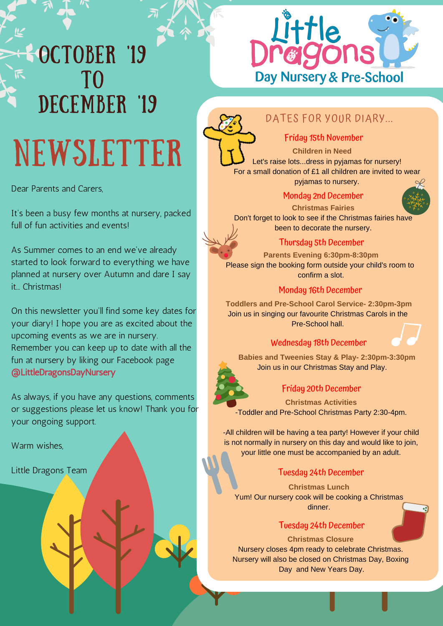## **SOCTOBER '19** TO DECEMBER '19 NEWSLETTER

Dear Parents and Carers,

It's been a busy few months at nursery, packed full of fun activities and events!

As Summer comes to an end we've already started to look forward to everything we have planned at nursery over Autumn and dare I say it... Christmas!

On this newsletter you'll find some key dates for your diary! I hope you are as excited about the upcoming events as we are in nursery. Remember you can keep up to date with all the fun at nursery by liking our Facebook page @LittleDragonsDayNursery

As always, if you have any questions, comments or suggestions please let us know! Thank you for your ongoing support.

Warm wishes.

Little Dragons Team

# Little<br>røgons Day Nursery & Pre-School



### DATES FOR YOUR DIARY...

#### Friday 15th November

**Children in Need** Let's raise lots...dress in pyjamas for nursery! For a small donation of £1 all children are invited to wear

pyjamas to nursery.

#### Monday 2nd December



**Christmas Fairies** Don't forget to look to see if the Christmas fairies have been to decorate the nursery.

#### Thursday 5th December

**Parents Evening 6:30pm-8:30pm** Please sign the booking form outside your child's room to confirm a slot.

#### Monday 16th December

**Toddlers and Pre-School Carol Service- 2:30pm-3pm** Join us in singing our favourite Christmas Carols in the Pre-School hall.

#### Wednesday 18th December

**Babies and Tweenies Stay & Play- 2:30pm-3:30pm** Join us in our Christmas Stay and Play.



#### Friday 20th December

**Christmas Activities** -Toddler and Pre-School Christmas Party 2:30-4pm.

-All children will be having a tea party! However if your child is not normally in nursery on this day and would like to join, your little one must be accompanied by an adult.

#### Tuesday 24th December

**Christmas Lunch** Yum! Our nursery cook will be cooking a Christmas dinner.

#### Tuesday 24th December

#### **Christmas Closure**

Nursery closes 4pm ready to celebrate Christmas. Nursery will also be closed on Christmas Day, Boxing Day and New Years Day.